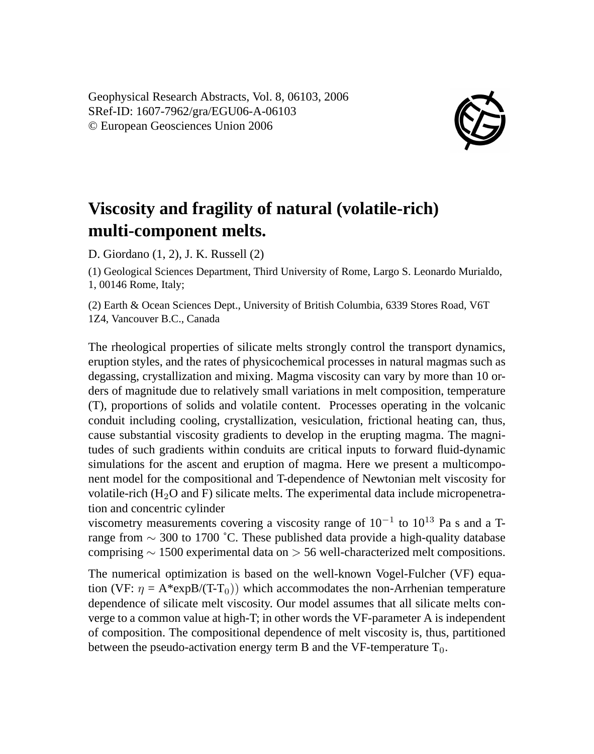Geophysical Research Abstracts, Vol. 8, 06103, 2006 SRef-ID: 1607-7962/gra/EGU06-A-06103 © European Geosciences Union 2006



## **Viscosity and fragility of natural (volatile-rich) multi-component melts.**

D. Giordano (1, 2), J. K. Russell (2)

(1) Geological Sciences Department, Third University of Rome, Largo S. Leonardo Murialdo, 1, 00146 Rome, Italy;

(2) Earth & Ocean Sciences Dept., University of British Columbia, 6339 Stores Road, V6T 1Z4, Vancouver B.C., Canada

The rheological properties of silicate melts strongly control the transport dynamics, eruption styles, and the rates of physicochemical processes in natural magmas such as degassing, crystallization and mixing. Magma viscosity can vary by more than 10 orders of magnitude due to relatively small variations in melt composition, temperature (T), proportions of solids and volatile content. Processes operating in the volcanic conduit including cooling, crystallization, vesiculation, frictional heating can, thus, cause substantial viscosity gradients to develop in the erupting magma. The magnitudes of such gradients within conduits are critical inputs to forward fluid-dynamic simulations for the ascent and eruption of magma. Here we present a multicomponent model for the compositional and T-dependence of Newtonian melt viscosity for volatile-rich  $(H<sub>2</sub>O$  and F) silicate melts. The experimental data include micropenetration and concentric cylinder

viscometry measurements covering a viscosity range of  $10^{-1}$  to  $10^{13}$  Pa s and a Trange from ∼ 300 to 1700 ˚C. These published data provide a high-quality database comprising ∼ 1500 experimental data on > 56 well-characterized melt compositions.

The numerical optimization is based on the well-known Vogel-Fulcher (VF) equation (VF:  $\eta = A^*expB/(T-T_0)$ ) which accommodates the non-Arrhenian temperature dependence of silicate melt viscosity. Our model assumes that all silicate melts converge to a common value at high-T; in other words the VF-parameter A is independent of composition. The compositional dependence of melt viscosity is, thus, partitioned between the pseudo-activation energy term B and the VF-temperature  $T_0$ .